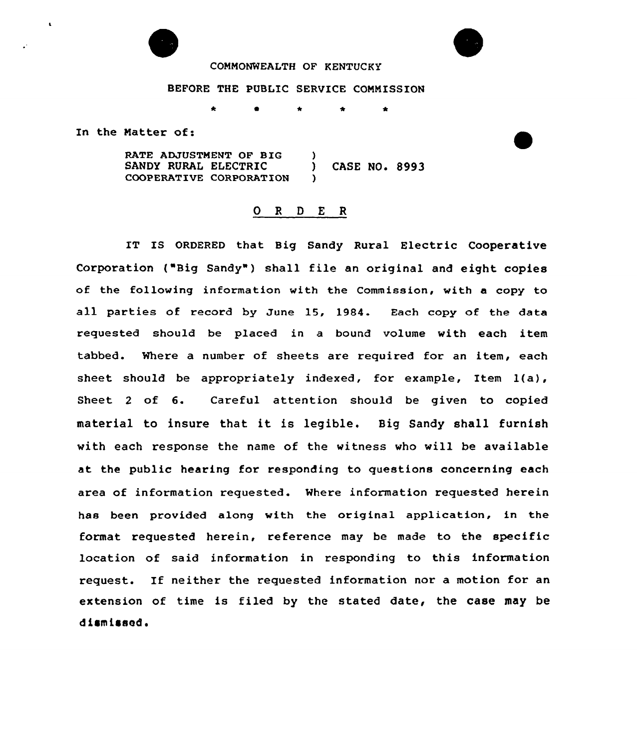

## COMMONWEALTH OF KENTUCKY

## BEFORE THE PUBLIC SERVICE CONNISSION

 $\bullet$ 

In the Natter of:

RATE ADJUSTMENT OF BIG )<br>SANDY RURAL ELECTRIC ) SANDY RURAL ELECTRIC ) CASE NO. 8993<br>COOPERATIVE CORPORATION ) COOPERATIVE CORPORATION

## 0 <sup>R</sup> <sup>D</sup> <sup>E</sup> <sup>R</sup>

IT IS ORDERED that Big Sandy Rural Electric Cooperative Corporation ("Big Sandy") shall file an original and eight copies of the following information with the Commission, with a copy to all parties of record by June 15, 1984. Each copy of the data requested should be placed in a bound volume with each item tabbed. Where a number of sheets are required for an item, each sheet should be appropriately indexed, for example, Item 1(a), Sheet <sup>2</sup> of 6. Careful attention should be given to copied material to insure that it is legible. Big Sandy shall furnish with each response the name of the witness who will be available at the public hearing for responding to questions concerning each area of information requested. Mhere information requested herein has been provided along with the original application, in the format requested herein, reference may be made to the specific location of said information in responding to this information request. If neither the requested information nor a motion for an extension of time is filed by the stated date, the case may be dismissed.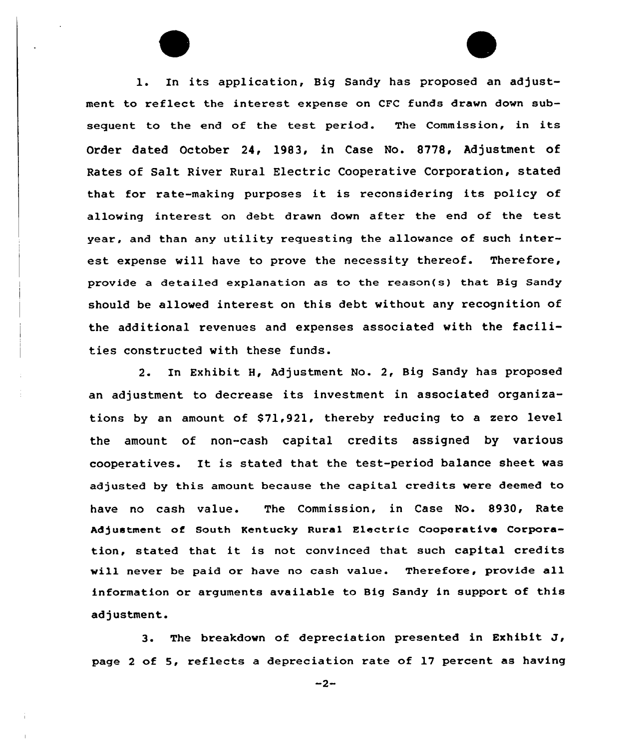l. In its application, Big Sandy has proposed an adjustment to reflect the interest expense on CFC funds drawn down subsequent to the end of the test period. The Commission, in its Order dated October 24, 1983, in Case No. 8778, Adjustment of Rates of Salt River Rural Electric Cooperative Corporation, stated that for rate-making purposes it is reconsidering its policy of allowing interest on debt drawn down after the end of the test year, and than any utility requesting the allowance of such interest expense will have to prove the necessity thereof. Therefore, provide a detailed explanation as to the reason(s) that Big Sandy should be allowed interest on this debt without any recognition of the additional revenues and expenses associated with the facilities constructed with these funds.

2. In Exhibit H, Adjustment No. 2, Big Sandy has proposed an adjustment to decrease its investment in associated organizations by an amount of \$71,921, thereby reducing to a zero level the amount of non-cash capital credits assigned by various cooperatives. It is stated that the test-period balance sheet was adjusted by this amount because the capital credits were deemed to have no cash value. The Commission, in Case No. 8930, Rate Adjustment of South Kentucky Rural Electric Cooperative Corporation, stated that it is not convinced that such capital credits will never be paid or have no cash value. Therefore, provide all information or arguments available to Big Sandy in support of this adjustment.

3. The breakdown of depreciation presented in Exhibit J, page <sup>2</sup> of 5, reflects a depreciation rate of 17 percent as having

 $-2-$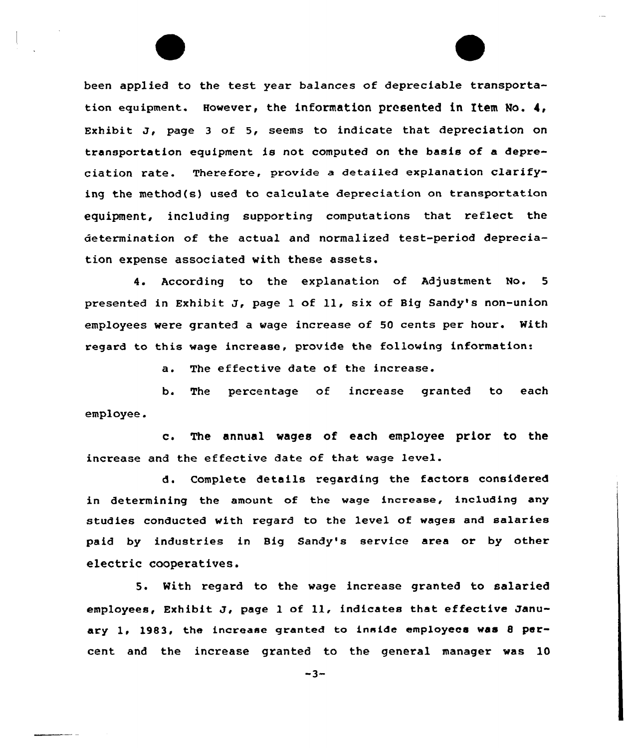been applied to the test year balances of depreciable transportation equipment. However, the information presented in Item No. 4, Exhibit J, page <sup>3</sup> of 5, seems to indicate that depreciation on transportation equipment is not computed on the basis of a depreciation rate. Therefore, provide <sup>a</sup> detailed explanation clarifying the method(s) used to calculate depreciation on transportation equipment, including supporting computations that reflect the determination of the actual and normalized test-period depreciation expense associated vith these assets.

4. According to the explanation of Adjustment No. <sup>5</sup> presented in Exhibit J, page <sup>1</sup> of ll, six of Big Sandy's non-union employees were granted a vage increase of 50 cents per hour. With regard to this wage increase, provide the following information:

a. The effective date of the increase.

b. The percentage of increase granted to each employee.

c. The annual wages of each employee prior to the increase and the effective date of that wage level.

d. Complete details regarding the factors considered in determining the amount of the wage increase, including any studies conducted with regard to the level of wages and salaries paid by industries in Big Sandy's service area or by other electric cooperatives.

5. With regard to the wage increase granted to salaried employees, Exhibit J, page <sup>1</sup> of ll, indicates that effective January 1, 1983, the increase granted to inside employees was <sup>8</sup> psrcent and the increase granted to the general manager was 10

 $-3-$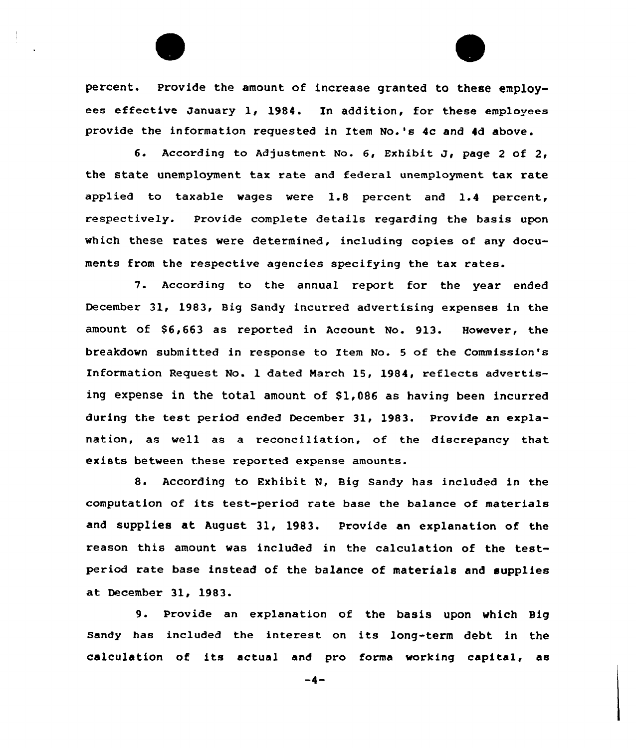percent. Provide the amount of increase granted to these employees effective January 1, 1984. In addition, for these employees provide the information requested in Item No.'s 4c and 4d above.

6. According to Adjustment No. 6, Exhibit J, page <sup>2</sup> of 2, the state unemployment tax rate and federa1 unemployment tax rate applied to taxable wages were 1.8 percent and 1.4 percent, respectively. Provide complete details regarding the basis upon which these rates vere determined, including copies of any documents from the respective agencies specifying the tax rates.

7. According to the annual report for the year ended December 31, 1983, Big Sandy incurred advertising expenses in the amount of \$6,663 as reported in Account No. 913. However, the breakdown submitted in response to Item No. <sup>5</sup> of the Commission's Information Request No. 1 dated Narch 15, 1984, reflects advertising expense in the total amount of \$1,086 as having been incurred during the test period ended December 31, 1983. Provide an explanation, as well as a reconciliation, of the discrepancy that exists between these reported expense amounts.

8. According to Exhibit N, Big Sandy has included in the computation of its test-period rate base the balance of materials and supplies at August 31, 1983. Provide an explanation of the reason this amount vas included in the calculation of the testperiod rate base instead of the balance of materials and supplies at December 31, 1983.

9. Provide an explanation of the basis upon vhich Big sandy has included the interest on its long-term debt in the calculation of its actual and pro forma working capital, as

 $-4-$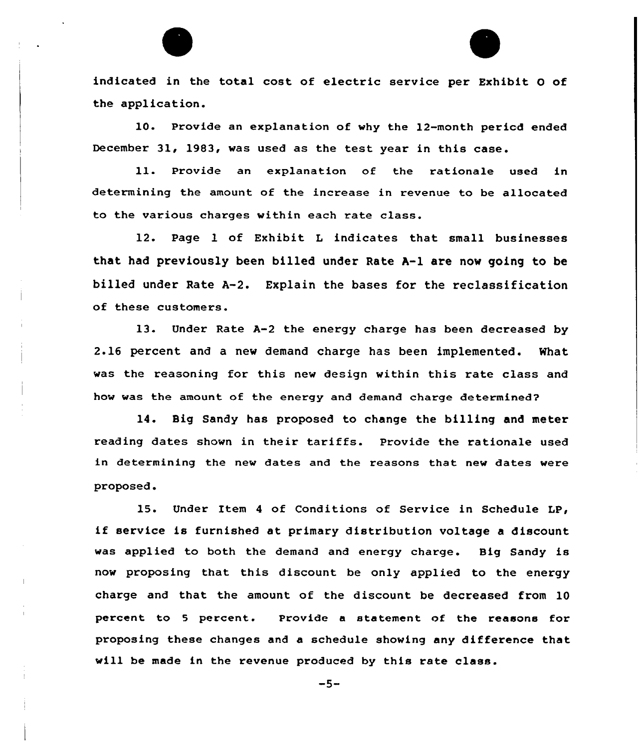indicated in the total cost of electric service per Exhibit 0 of the application.

10. Pxovide an explanation of why the 12-month pericd ended December 31, 1983, was used as the test year in this case.

ll. Provide an explanation of the rationale used in determining the amount of the increase in revenue to be allocated to the various charges within each rate class.

12. Page 1 of Exhibit <sup>L</sup> indicates that small businesses that had previously been billed under Rate A-1 are now going to be billed under Rate A-2. Explain the bases for the reclassification of these customers.

13. Under Rate A-2 the energy charge has been decreased by 2.16 percent and a new demand charge has been implemented. What was the reasoning for this new design within this rate class and how was the amount of the energy and demand charge determined?

14. Big Sandy has proposed to change the billing and meter reading dates shown in their tariffs. Provide the rationale used in determining the new dates and the reasons that new dates were proposed.

15. Under Item <sup>4</sup> of Conditions of Service in Schedule LP, if service is furnished at primary distribution voltage <sup>a</sup> discount was applied to both the demand and energy charge. Big Sandy is now proposing that this discount be only applied to the energy charge and that the amount, of the discount be decreased from 10 percent to 5 percent. Provide a statement of the reasons for proposing these changes and a schedule showing any difference that will be made in the revenue produced by this rate class.

 $-5-$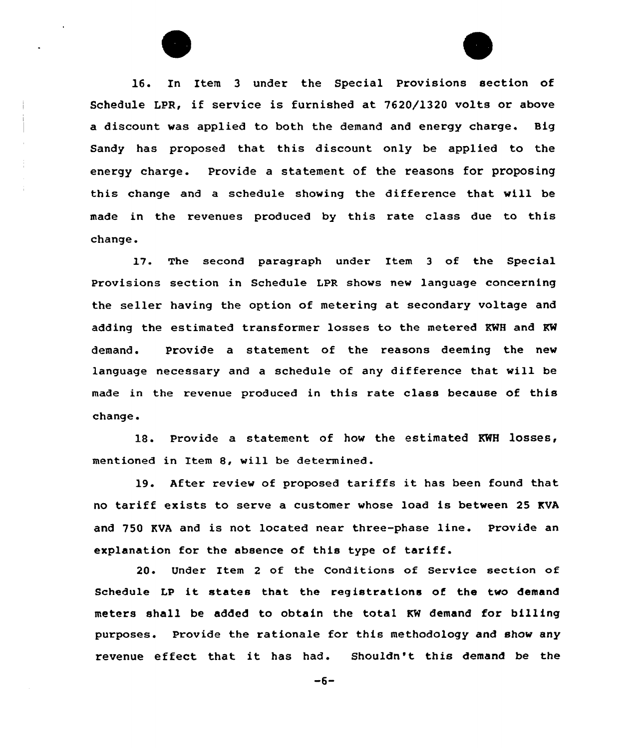16. In Item 3 under the Special Provisions section of Schedule LPR, if service is furnished at 7620/1320 volts or above a discount was applied to both the demand and energy charge. Big Sandy has proposed that this discount only be applied to the energy charge. Provide a statement of the reasons for proposing this change and a schedule showing the difference that will be made in the revenues produced by this rate class due to this change.

l7. The second paragraph under Item <sup>3</sup> of the Special Provisions section in Schedule LPR shows new language concerning the seller having the option of metering at secondary voltage and adding the estimated transformer losses to the metered KWH and KW demand. Provide a statement of the reasons deeming the new language necessary and a schedule of any difference that will be made in the revenue produced in this rate class because of this change.

18. Provide a statement of how the estimated KWH losses, mentioned in Item 8, will be determined.

19. After review of proposed tariffs it has been found that no tariff exists to serve a customer whose load is between 25 KVA and 750 KVA and is not located near three-phase line. Provide an explanation for the absence of this type of tariff.

20. Under Item 2 of the Conditions of Service section of Schedule LP it states that the registrations of the two demand meters shall be added to obtain the total KW demand for billing purposes. Provide the rationale for this methodology and show any revenue effect that it has had. Shouldn't this demand be the

 $-6-$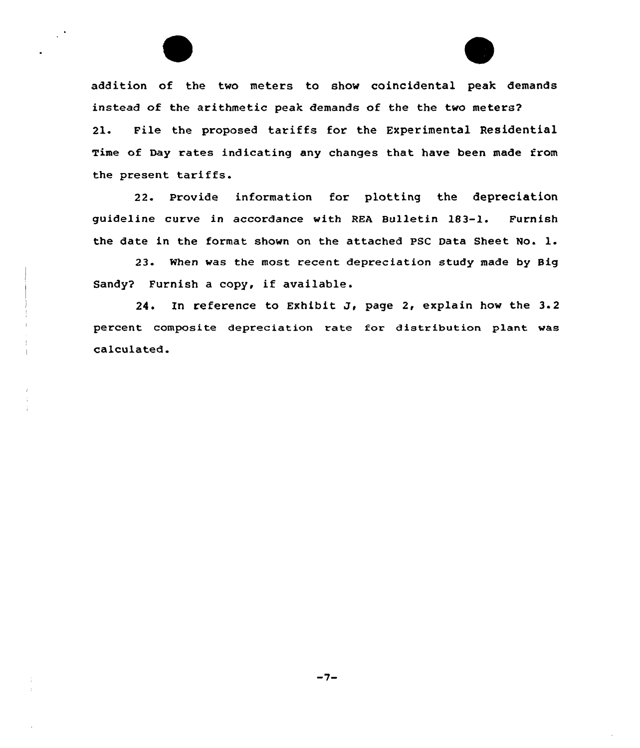addition of the two meters to show coincidental peak demands instead of the arithmetic peak demands of the the two meters? 21. File the proposed tariffs for the Experimental Residential Time of Day rates indicating any changes that have been made from the present tariffs.

22. Provide information for plotting the depreciation guideline curve in accordance with REA Bulletin 183-1. Furnish the date in the format shown on the attached PSC Data Sheet No. l.

23. When was the most recent depreciation study made by Big Sandy? Furnish <sup>a</sup> copy, if available.

24. In reference to Exhibit J, page 2, explain how the  $3.2$ percent composite depreciation rate for distribution plant was calculated.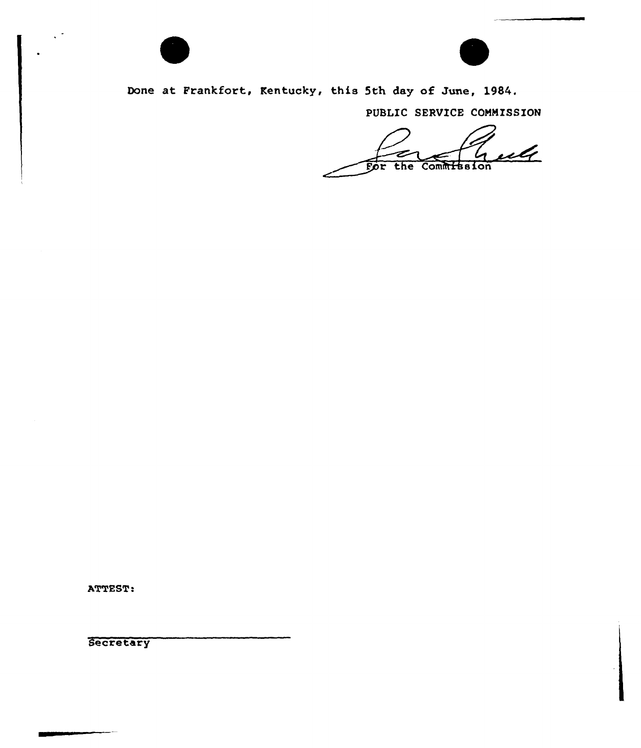

 $\mathcal{L}$ 



Done at Frankfort, Kentucky, this 5th day of June, 1984.

PUBLIC SERVICE COMMISSION

 $u\mathcal{U}$ For the Commitssion

ATTEST:

Secretary

---